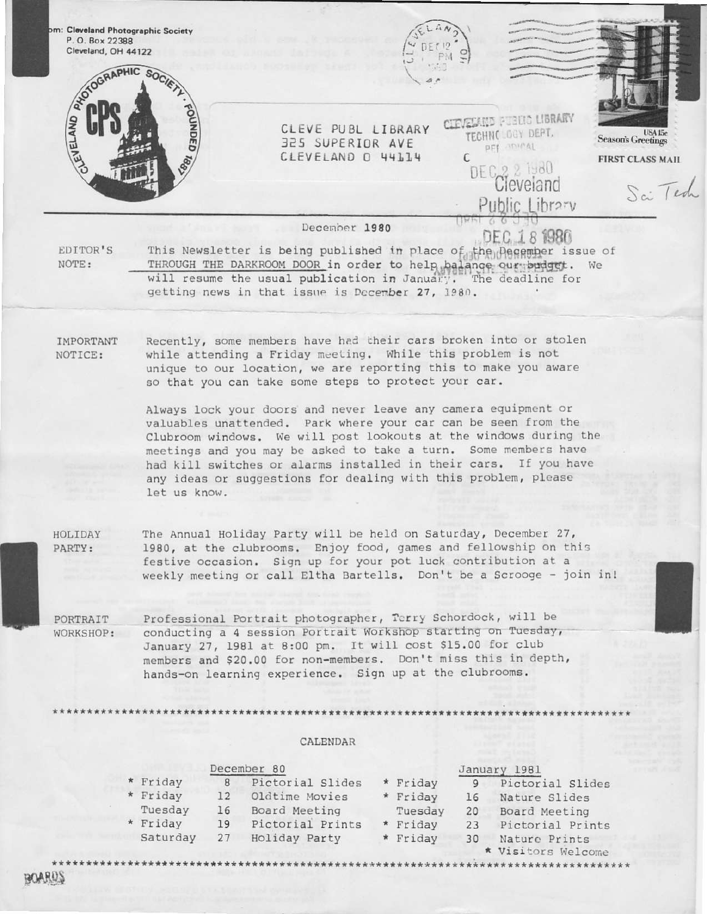

**BOARDS**